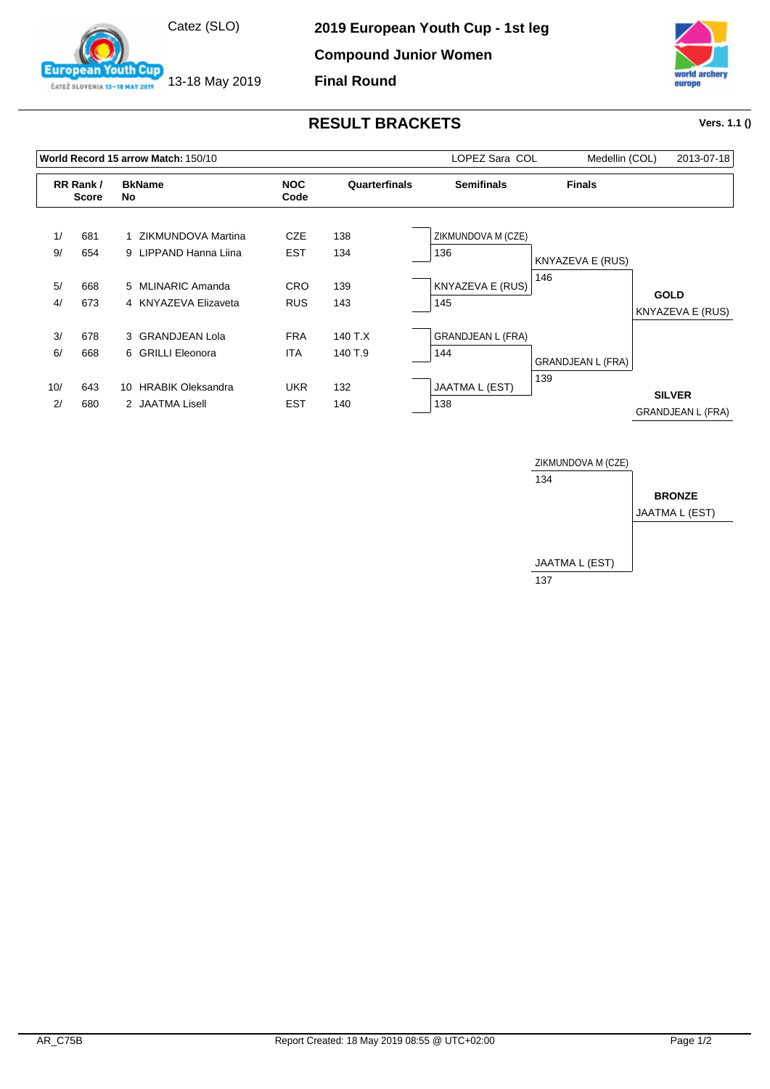

13-18 May 2019

outh Cup

**European** 

ČATEŽ SLOVENIA 13-18 MAY 2019

**2019 European Youth Cup - 1st leg**

**Compound Junior Women**

**Final Round**



## **RESULT BRACKETS Vers. 1.1 ()**

|     |                          | World Record 15 arrow Match: 150/10 |                    | LOPEZ Sara COL | Medellin (COL)           | 2013-07-18               |                                           |
|-----|--------------------------|-------------------------------------|--------------------|----------------|--------------------------|--------------------------|-------------------------------------------|
|     | RR Rank/<br><b>Score</b> | <b>BkName</b><br>No                 | <b>NOC</b><br>Code | Quarterfinals  | <b>Semifinals</b>        | <b>Finals</b>            |                                           |
| 1/  | 681                      | 1 ZIKMUNDOVA Martina                | <b>CZE</b>         | 138            | ZIKMUNDOVA M (CZE)       |                          |                                           |
| 9/  | 654                      | 9 LIPPAND Hanna Liina               | <b>EST</b>         | 134            | 136                      | KNYAZEVA E (RUS)         |                                           |
| 5/  | 668                      | 5 MLINARIC Amanda                   | <b>CRO</b>         | 139            | KNYAZEVA E (RUS)         | 146                      | <b>GOLD</b>                               |
| 4/  | 673                      | 4 KNYAZEVA Elizaveta                | <b>RUS</b>         | 143            | 145                      |                          | KNYAZEVA E (RUS)                          |
| 3/  | 678                      | 3 GRANDJEAN Lola                    | <b>FRA</b>         | 140 T.X        | <b>GRANDJEAN L (FRA)</b> |                          |                                           |
| 6/  | 668                      | 6 GRILLI Eleonora                   | <b>ITA</b>         | 140 T.9        | 144                      | <b>GRANDJEAN L (FRA)</b> |                                           |
| 10/ | 643                      | <b>HRABIK Oleksandra</b><br>10      | <b>UKR</b>         | 132            | JAATMA L (EST)           | 139                      |                                           |
| 2/  | 680                      | 2 JAATMA Lisell                     | <b>EST</b>         | 140            | 138                      |                          | <b>SILVER</b><br><b>GRANDJEAN L (FRA)</b> |